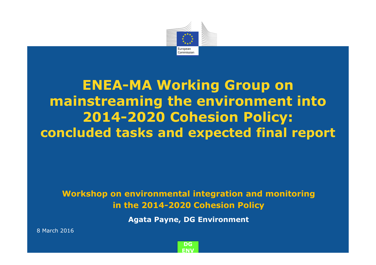

# **ENEA-MA Working Group on mainstreaming the environment into 2014-2020 Cohesion Policy:concluded tasks and expected final report**

**Workshop on environmental integration and monitoring in the 2014-2020 Cohesion Policy**

**Agata Payne, DG Environment**

<sup>8</sup> March 2016

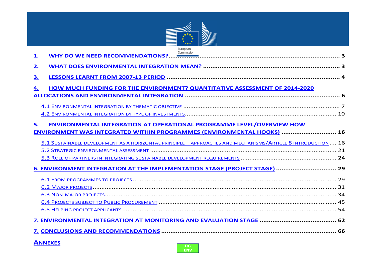

| Commission<br><u>1.</u>                                                                                      |  |
|--------------------------------------------------------------------------------------------------------------|--|
| 2.                                                                                                           |  |
| 3.                                                                                                           |  |
| HOW MUCH FUNDING FOR THE ENVIRONMENT? QUANTITATIVE ASSESSMENT OF 2014-2020<br>4.                             |  |
|                                                                                                              |  |
|                                                                                                              |  |
|                                                                                                              |  |
| ENVIRONMENTAL INTEGRATION AT OPERATIONAL PROGRAMME LEVEL/OVERVIEW HOW<br>5.                                  |  |
| ENVIRONMENT WAS INTEGRATED WITHIN PROGRAMMES (ENVIRONMENTAL HOOKS)  16                                       |  |
| 5.1 SUSTAINABLE DEVELOPMENT AS A HORIZONTAL PRINCIPLE - APPROACHES AND MECHANISMS/ARTICLE 8 INTRODUCTION  16 |  |
|                                                                                                              |  |
|                                                                                                              |  |
| 6. ENVIRONMENT INTEGRATION AT THE IMPLEMENTATION STAGE (PROJECT STAGE)  29                                   |  |
|                                                                                                              |  |
|                                                                                                              |  |
|                                                                                                              |  |
|                                                                                                              |  |
|                                                                                                              |  |
|                                                                                                              |  |
|                                                                                                              |  |

**ANNEXES**

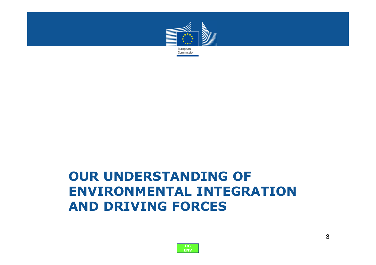

## **OUR UNDERSTANDING OF ENVIRONMENTAL INTEGRATION AND DRIVING FORCES**

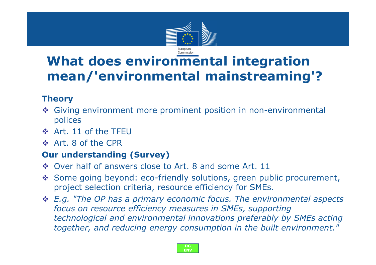

# **What does environmental integration mean/'environmental mainstreaming'?**

### **Theory**

- Giving environment more prominent position in non-environmental<br>polices polices
- $\div$  Art. 11 of the TFEU
- $\div$  Art. 8 of the CPR

### **Our understanding (Survey)**

- \* Over half of answers close to Art. 8 and some Art. 11
- Some going beyond: eco-friendly solutions, green public procurement, project selection criteria, resource efficiency for SMEs.
- *E.g. "The OP has a primary economic focus. The environmental aspects focus on resource efficiency measures in SMEs, supporting technological and environmental innovations preferably by SMEs acting together, and reducing energy consumption in the built environment."*

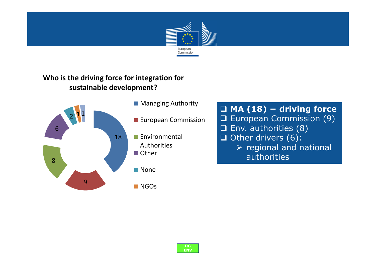

#### **Who is the driving force for integration for sustainable development?**



- **MA (18) − driving force** □ European Commission (9)<br>□ Env. authorities (8) □ Env. authorities (8)<br>□ Other drivers (6):  $\Box$  Other drivers (6):<br>A regional and n > regional and national authorities

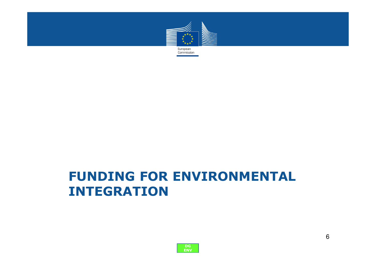

## **FUNDING FOR ENVIRONMENTAL INTEGRATION**

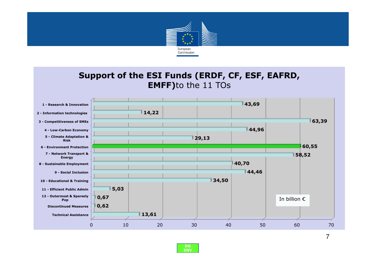

### **Support of the ESI Funds (ERDF, CF, ESF, EAFRD, EMFF)**to the 11 TOs



**DG ENV** 7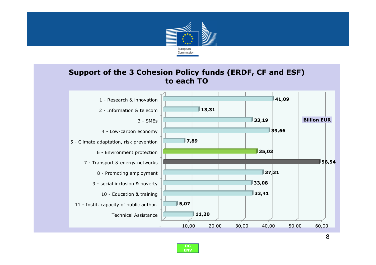

#### **Support of the 3 Cohesion Policy funds (ERDF, CF and ESF) to each TO**



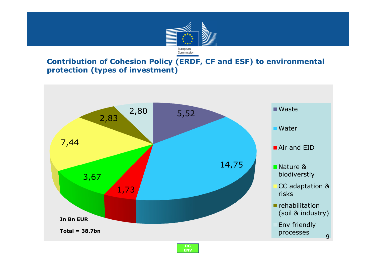

#### **Contribution of Cohesion Policy (ERDF, CF and ESF) to environmental protection (types of investment)**



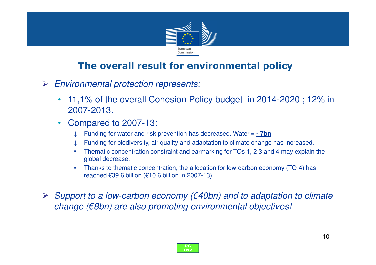

### **The overall result for environmental policy**

- $\blacktriangleright$  Environmental protection represents:
	- • 11,1% of the overall Cohesion Policy budget in 2014-2020 ; 12% in 2007-2013.
	- $\bullet$  Compared to 2007-13:
		- ↓Funding for water and risk prevention has decreased. Water = **- 7bn**
		- ↓Funding for biodiversity, air quality and adaptation to climate change has increased.
		- П Thematic concentration constraint and earmarking for TOs 1, 2 3 and 4 may explain the global decrease.
		- $\overline{\phantom{a}}$  Thanks to thematic concentration, the allocation for low-carbon economy (TO-4) has reached €39.6 billion (€10.6 billion in 2007-13).
- Support to a low-carbon economy ( $\epsilon$ 40bn) and to adaptation to climate  $\epsilon$ change (€8bn) are also promoting environmental objectives!

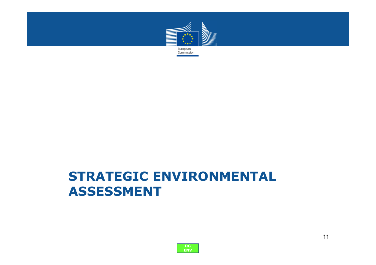

## **STRATEGIC ENVIRONMENTAL ASSESSMENT**

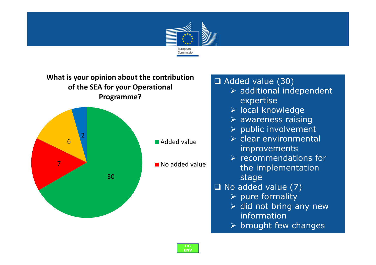

#### **What is your opinion about the contribution of the SEA for your Operational Programme?**



## ⊿ Added value (30)<br>additional inc≼

- > additional independent expertise
- > local knowledge
- > awareness raising
- > public involvement
- > clear environmental improvements
- > recommendations for<br>the implementation the implementation stage
- No added value (7)<br>No pure formality
	- $\triangleright$  pure formality
	- $\triangleright$  did not bring any new information
	- $\triangleright$  brought few changes